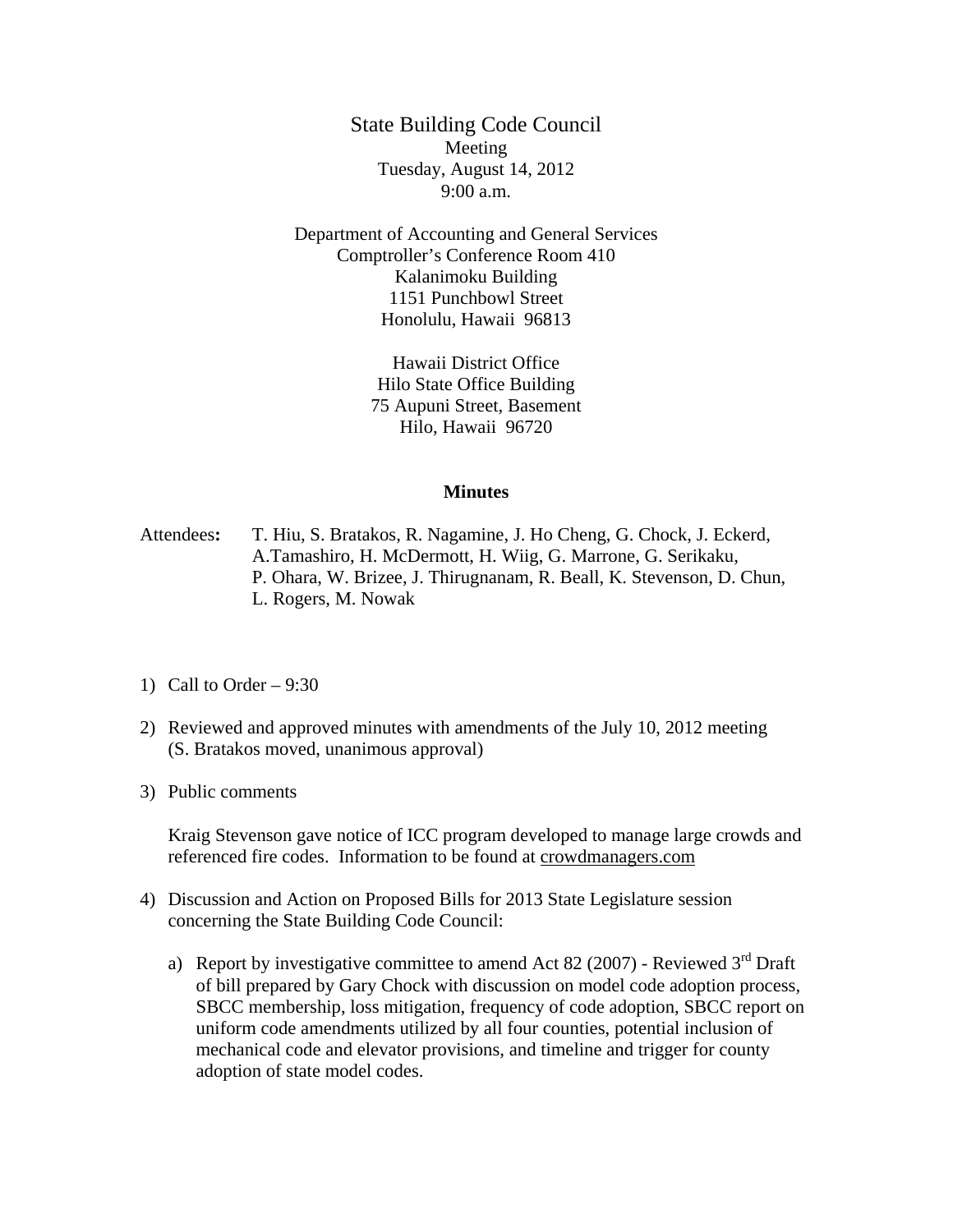State Building Code Council Meeting Tuesday, August 14, 2012 9:00 a.m.

Department of Accounting and General Services Comptroller's Conference Room 410 Kalanimoku Building 1151 Punchbowl Street Honolulu, Hawaii 96813

> Hawaii District Office Hilo State Office Building 75 Aupuni Street, Basement Hilo, Hawaii 96720

## **Minutes**

Attendees**:** T. Hiu, S. Bratakos, R. Nagamine, J. Ho Cheng, G. Chock, J. Eckerd, A.Tamashiro, H. McDermott, H. Wiig, G. Marrone, G. Serikaku, P. Ohara, W. Brizee, J. Thirugnanam, R. Beall, K. Stevenson, D. Chun, L. Rogers, M. Nowak

- 1) Call to Order  $-9:30$
- 2) Reviewed and approved minutes with amendments of the July 10, 2012 meeting (S. Bratakos moved, unanimous approval)
- 3) Public comments

Kraig Stevenson gave notice of ICC program developed to manage large crowds and referenced fire codes. Information to be found at crowdmanagers.com

- 4) Discussion and Action on Proposed Bills for 2013 State Legislature session concerning the State Building Code Council:
	- a) Report by investigative committee to amend Act 82 (2007) Reviewed  $3<sup>rd</sup>$  Draft of bill prepared by Gary Chock with discussion on model code adoption process, SBCC membership, loss mitigation, frequency of code adoption, SBCC report on uniform code amendments utilized by all four counties, potential inclusion of mechanical code and elevator provisions, and timeline and trigger for county adoption of state model codes.